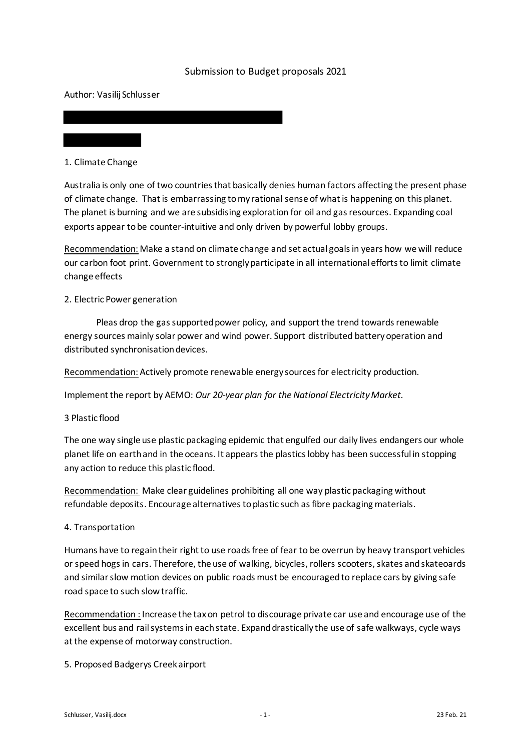## Submission to Budget proposals 2021

Author: Vasilij Schlusser

1. Climate Change

Australia is only one of two countries that basically denies human factors affecting the present phase of climate change. That is embarrassing to my rational sense of what is happening on this planet. The planet is burning and we are subsidising exploration for oil and gasresources. Expanding coal exports appear to be counter-intuitive and only driven by powerful lobby groups.

Recommendation: Make a stand on climate change and set actual goals in years how we will reduce our carbon foot print. Government to strongly participate in all international efforts to limit climate change effects

## 2. Electric Power generation

Pleas drop the gas supported power policy, and support the trend towards renewable energy sources mainly solar power and wind power. Support distributed battery operation and distributed synchronisation devices.

Recommendation: Actively promote renewable energy sources for electricity production.

Implementthe report by AEMO: *Our 20-year plan for the National Electricity Market.* 

## 3 Plastic flood

The one way single use plastic packaging epidemic that engulfed our daily lives endangers our whole planet life on earth and in the oceans. It appears the plastics lobby has been successful in stopping any action to reduce this plastic flood.

Recommendation: Make clear guidelines prohibiting all one way plastic packaging without refundable deposits. Encourage alternatives to plastic such as fibre packaging materials.

## 4. Transportation

Humans have to regain their right to use roads free of fear to be overrun by heavy transport vehicles or speed hogs in cars. Therefore, the use of walking, bicycles, rollers scooters, skates and skateoards and similar slow motion devices on public roads must be encouraged to replace cars by giving safe road space to such slow traffic.

Recommendation : Increase the tax on petrol to discourage private car use and encourage use of the excellent bus and rail systems in each state. Expand drastically the use of safe walkways, cycle ways at the expense of motorway construction.

5. Proposed Badgerys Creek airport